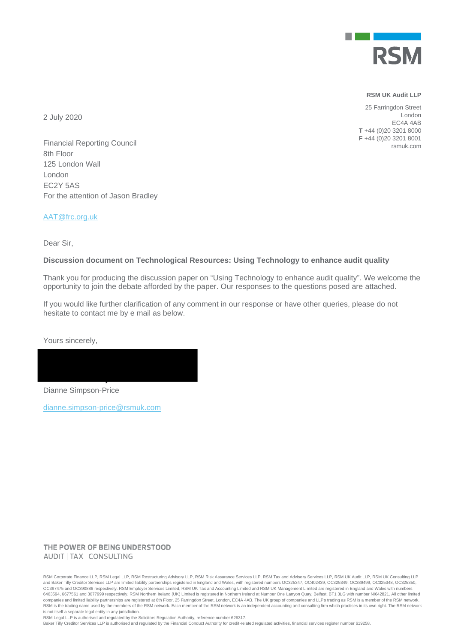

#### **RSM UK Audit LLP**

25 Farringdon Street London EC4A 4AB **T** +44 (0)20 3201 8000 **F** +44 (0)20 3201 8001 rsmuk.com

2 July 2020

Financial Reporting Council 8th Floor 125 London Wall London EC2Y 5AS For the attention of Jason Bradley

[AAT@frc.org.uk](mailto:AAT@frc.org.uk)

Dear Sir,

#### **Discussion document on Technological Resources: Using Technology to enhance audit quality**

Thank you for producing the discussion paper on "Using Technology to enhance audit quality". We welcome the opportunity to join the debate afforded by the paper. Our responses to the questions posed are attached.

If you would like further clarification of any comment in our response or have other queries, please do not hesitate to contact me by e mail as below.

Yours sincerely,

Dianne Simpson-Price

[dianne.simpson-price@rsmuk.com](mailto:dianne.simpson-price@rsmuk.com)

### THE POWER OF BEING UNDERSTOOD AUDIT | TAX | CONSULTING

RSM Corporate Finance LLP, RSM Legal LLP, RSM Restructuring Advisory LLP, RSM Risk Assurance Services LLP, RSM Tax and Advisory Services LLP, RSM UK Audit LLP, RSM UK Consulting LLP and Baker Tilly Creditor Services LLP are limited liability partnerships registered in England and Wales, with registered numbers OC325347, OC402439, OC325349, OC389499, OC325348, OC325348, OC325348, OC325348, OC325348, OC 6463594, 6677561 and 3077999 respectively. RSM Northern Ireland (UK) Limited is registered in Northern Ireland at Number One Lanyon Quay, Belfast, BT1 3LG with number NI642821. All other limited companies and limited liability partnerships are registered at 6th Floor, 25 Farringdon Street, London, EC4A 4AB. The UK group of companies and LLPs trading as RSM is a member of the RSM network. RSM is the trading name used by the members of the RSM network. Each member of the RSM network is an independent accounting and consulting firm which practises in its own right. The RSM network is not itself a separate legal entity in any jurisdiction.

RSM Legal LLP is authorised and regulated by the Solicitors Regulation Authority, reference number 626317.

Baker Tilly Creditor Services LLP is authorised and regulated by the Financial Conduct Authority for credit-related regulated activities, financial services register number 619258.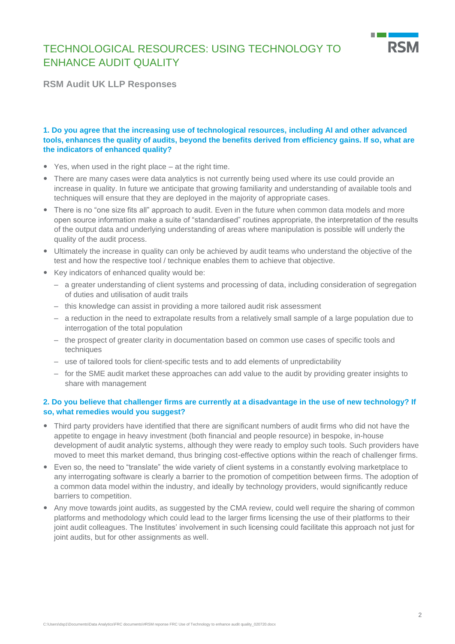

**RSM Audit UK LLP Responses**

# **1. Do you agree that the increasing use of technological resources, including AI and other advanced tools, enhances the quality of audits, beyond the benefits derived from efficiency gains. If so, what are the indicators of enhanced quality?**

- Yes, when used in the right place at the right time.
- There are many cases were data analytics is not currently being used where its use could provide an increase in quality. In future we anticipate that growing familiarity and understanding of available tools and techniques will ensure that they are deployed in the majority of appropriate cases.
- There is no "one size fits all" approach to audit. Even in the future when common data models and more open source information make a suite of "standardised" routines appropriate, the interpretation of the results of the output data and underlying understanding of areas where manipulation is possible will underly the quality of the audit process.
- Ultimately the increase in quality can only be achieved by audit teams who understand the objective of the test and how the respective tool / technique enables them to achieve that objective.
- Key indicators of enhanced quality would be:
	- a greater understanding of client systems and processing of data, including consideration of segregation of duties and utilisation of audit trails
	- this knowledge can assist in providing a more tailored audit risk assessment
	- a reduction in the need to extrapolate results from a relatively small sample of a large population due to interrogation of the total population
	- the prospect of greater clarity in documentation based on common use cases of specific tools and techniques
	- use of tailored tools for client-specific tests and to add elements of unpredictability
	- for the SME audit market these approaches can add value to the audit by providing greater insights to share with management

### **2. Do you believe that challenger firms are currently at a disadvantage in the use of new technology? If so, what remedies would you suggest?**

- Third party providers have identified that there are significant numbers of audit firms who did not have the appetite to engage in heavy investment (both financial and people resource) in bespoke, in-house development of audit analytic systems, although they were ready to employ such tools. Such providers have moved to meet this market demand, thus bringing cost-effective options within the reach of challenger firms.
- Even so, the need to "translate" the wide variety of client systems in a constantly evolving marketplace to any interrogating software is clearly a barrier to the promotion of competition between firms. The adoption of a common data model within the industry, and ideally by technology providers, would significantly reduce barriers to competition.
- Any move towards joint audits, as suggested by the CMA review, could well require the sharing of common platforms and methodology which could lead to the larger firms licensing the use of their platforms to their joint audit colleagues. The Institutes' involvement in such licensing could facilitate this approach not just for joint audits, but for other assignments as well.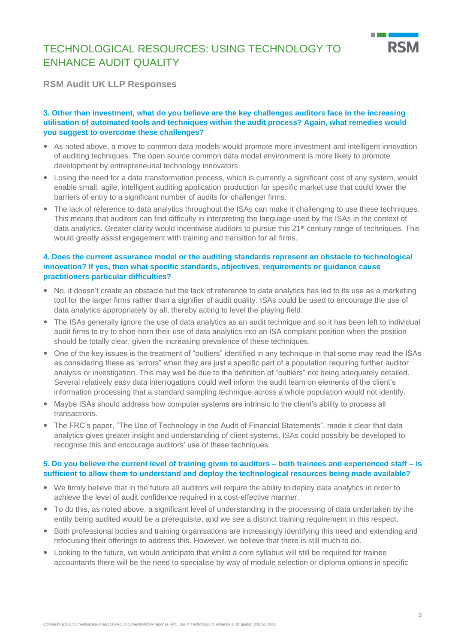

**RSM Audit UK LLP Responses**

### **3. Other than investment, what do you believe are the key challenges auditors face in the increasing utilisation of automated tools and techniques within the audit process? Again, what remedies would you suggest to overcome these challenges?**

- As noted above, a move to common data models would promote more investment and intelligent innovation of auditing techniques. The open source common data model environment is more likely to promote development by entrepreneurial technology innovators.
- Losing the need for a data transformation process, which is currently a significant cost of any system, would enable small, agile, intelligent auditing application production for specific market use that could lower the barriers of entry to a significant number of audits for challenger firms.
- The lack of reference to data analytics throughout the ISAs can make it challenging to use these techniques. This means that auditors can find difficulty in interpreting the language used by the ISAs in the context of data analytics. Greater clarity would incentivise auditors to pursue this 21<sup>st</sup> century range of techniques. This would greatly assist engagement with training and transition for all firms.

### **4. Does the current assurance model or the auditing standards represent an obstacle to technological innovation? If yes, then what specific standards, objectives, requirements or guidance cause practitioners particular difficulties?**

- No, it doesn't create an obstacle but the lack of reference to data analytics has led to its use as a marketing tool for the larger firms rather than a signifier of audit quality. ISAs could be used to encourage the use of data analytics appropriately by all, thereby acting to level the playing field.
- The ISAs generally ignore the use of data analytics as an audit technique and so it has been left to individual audit firms to try to shoe-horn their use of data analytics into an ISA compliant position when the position should be totally clear, given the increasing prevalence of these techniques.
- One of the key issues is the treatment of "outliers" identified in any technique in that some may read the ISAs as considering these as "errors" when they are just a specific part of a population requiring further auditor analysis or investigation. This may well be due to the definition of "outliers" not being adequately detailed. Several relatively easy data interrogations could well inform the audit team on elements of the client's information processing that a standard sampling technique across a whole population would not identify.
- Maybe ISAs should address how computer systems are intrinsic to the client's ability to process all transactions.
- The FRC's paper, "The Use of Technology in the Audit of Financial Statements", made it clear that data analytics gives greater insight and understanding of client systems. ISAs could possibly be developed to recognise this and encourage auditors' use of these techniques.

### **5. Do you believe the current level of training given to auditors – both trainees and experienced staff – is sufficient to allow them to understand and deploy the technological resources being made available?**

- We firmly believe that in the future all auditors will require the ability to deploy data analytics in order to achieve the level of audit confidence required in a cost-effective manner.
- To do this, as noted above, a significant level of understanding in the processing of data undertaken by the entity being audited would be a prerequisite, and we see a distinct training requirement in this respect.
- Both professional bodies and training organisations are increasingly identifying this need and extending and refocusing their offerings to address this. However, we believe that there is still much to do.
- Looking to the future, we would anticipate that whilst a core syllabus will still be required for trainee accountants there will be the need to specialise by way of module selection or diploma options in specific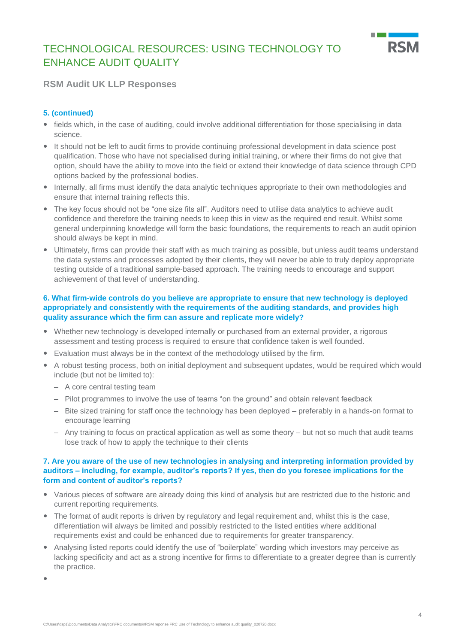

# **RSM Audit UK LLP Responses**

# **5. (continued)**

- fields which, in the case of auditing, could involve additional differentiation for those specialising in data science.
- It should not be left to audit firms to provide continuing professional development in data science post qualification. Those who have not specialised during initial training, or where their firms do not give that option, should have the ability to move into the field or extend their knowledge of data science through CPD options backed by the professional bodies.
- Internally, all firms must identify the data analytic techniques appropriate to their own methodologies and ensure that internal training reflects this.
- The key focus should not be "one size fits all". Auditors need to utilise data analytics to achieve audit confidence and therefore the training needs to keep this in view as the required end result. Whilst some general underpinning knowledge will form the basic foundations, the requirements to reach an audit opinion should always be kept in mind.
- Ultimately, firms can provide their staff with as much training as possible, but unless audit teams understand the data systems and processes adopted by their clients, they will never be able to truly deploy appropriate testing outside of a traditional sample-based approach. The training needs to encourage and support achievement of that level of understanding.

# **6. What firm-wide controls do you believe are appropriate to ensure that new technology is deployed appropriately and consistently with the requirements of the auditing standards, and provides high quality assurance which the firm can assure and replicate more widely?**

- Whether new technology is developed internally or purchased from an external provider, a rigorous assessment and testing process is required to ensure that confidence taken is well founded.
- Evaluation must always be in the context of the methodology utilised by the firm.
- A robust testing process, both on initial deployment and subsequent updates, would be required which would include (but not be limited to):
	- A core central testing team
	- Pilot programmes to involve the use of teams "on the ground" and obtain relevant feedback
	- Bite sized training for staff once the technology has been deployed preferably in a hands-on format to encourage learning
	- Any training to focus on practical application as well as some theory but not so much that audit teams lose track of how to apply the technique to their clients

#### **7. Are you aware of the use of new technologies in analysing and interpreting information provided by auditors – including, for example, auditor's reports? If yes, then do you foresee implications for the form and content of auditor's reports?**

- Various pieces of software are already doing this kind of analysis but are restricted due to the historic and current reporting requirements.
- The format of audit reports is driven by regulatory and legal requirement and, whilst this is the case, differentiation will always be limited and possibly restricted to the listed entities where additional requirements exist and could be enhanced due to requirements for greater transparency.
- Analysing listed reports could identify the use of "boilerplate" wording which investors may perceive as lacking specificity and act as a strong incentive for firms to differentiate to a greater degree than is currently the practice.

 $\overline{\phantom{a}}$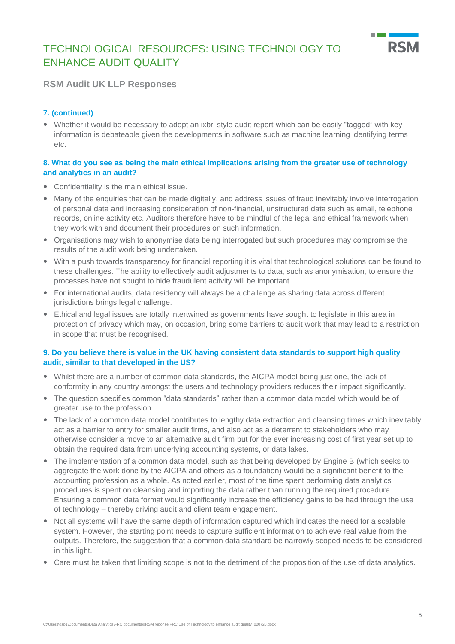

# **RSM Audit UK LLP Responses**

# **7. (continued)**

 Whether it would be necessary to adopt an ixbrl style audit report which can be easily "tagged" with key information is debateable given the developments in software such as machine learning identifying terms etc.

## **8. What do you see as being the main ethical implications arising from the greater use of technology and analytics in an audit?**

- Confidentiality is the main ethical issue.
- Many of the enquiries that can be made digitally, and address issues of fraud inevitably involve interrogation of personal data and increasing consideration of non-financial, unstructured data such as email, telephone records, online activity etc. Auditors therefore have to be mindful of the legal and ethical framework when they work with and document their procedures on such information.
- Organisations may wish to anonymise data being interrogated but such procedures may compromise the results of the audit work being undertaken.
- With a push towards transparency for financial reporting it is vital that technological solutions can be found to these challenges. The ability to effectively audit adjustments to data, such as anonymisation, to ensure the processes have not sought to hide fraudulent activity will be important.
- For international audits, data residency will always be a challenge as sharing data across different jurisdictions brings legal challenge.
- Ethical and legal issues are totally intertwined as governments have sought to legislate in this area in protection of privacy which may, on occasion, bring some barriers to audit work that may lead to a restriction in scope that must be recognised.

# **9. Do you believe there is value in the UK having consistent data standards to support high quality audit, similar to that developed in the US?**

- Whilst there are a number of common data standards, the AICPA model being just one, the lack of conformity in any country amongst the users and technology providers reduces their impact significantly.
- The question specifies common "data standards" rather than a common data model which would be of greater use to the profession.
- The lack of a common data model contributes to lengthy data extraction and cleansing times which inevitably act as a barrier to entry for smaller audit firms, and also act as a deterrent to stakeholders who may otherwise consider a move to an alternative audit firm but for the ever increasing cost of first year set up to obtain the required data from underlying accounting systems, or data lakes.
- The implementation of a common data model, such as that being developed by Engine B (which seeks to aggregate the work done by the AICPA and others as a foundation) would be a significant benefit to the accounting profession as a whole. As noted earlier, most of the time spent performing data analytics procedures is spent on cleansing and importing the data rather than running the required procedure. Ensuring a common data format would significantly increase the efficiency gains to be had through the use of technology – thereby driving audit and client team engagement.
- Not all systems will have the same depth of information captured which indicates the need for a scalable system. However, the starting point needs to capture sufficient information to achieve real value from the outputs. Therefore, the suggestion that a common data standard be narrowly scoped needs to be considered in this light.
- Care must be taken that limiting scope is not to the detriment of the proposition of the use of data analytics.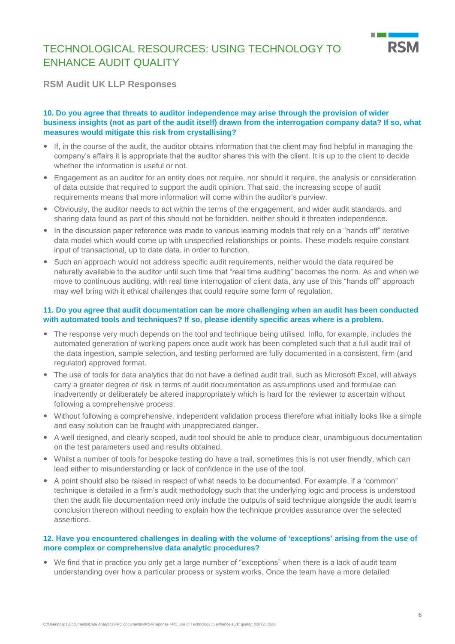

**RSM Audit UK LLP Responses**

### **10. Do you agree that threats to auditor independence may arise through the provision of wider business insights (not as part of the audit itself) drawn from the interrogation company data? If so, what measures would mitigate this risk from crystallising?**

- If, in the course of the audit, the auditor obtains information that the client may find helpful in managing the company's affairs it is appropriate that the auditor shares this with the client. It is up to the client to decide whether the information is useful or not.
- Engagement as an auditor for an entity does not require, nor should it require, the analysis or consideration of data outside that required to support the audit opinion. That said, the increasing scope of audit requirements means that more information will come within the auditor's purview.
- Obviously, the auditor needs to act within the terms of the engagement, and wider audit standards, and sharing data found as part of this should not be forbidden, neither should it threaten independence.
- In the discussion paper reference was made to various learning models that rely on a "hands off" iterative data model which would come up with unspecified relationships or points. These models require constant input of transactional, up to date data, in order to function.
- Such an approach would not address specific audit requirements, neither would the data required be naturally available to the auditor until such time that "real time auditing" becomes the norm. As and when we move to continuous auditing, with real time interrogation of client data, any use of this "hands off" approach may well bring with it ethical challenges that could require some form of regulation.

### **11. Do you agree that audit documentation can be more challenging when an audit has been conducted with automated tools and techniques? If so, please identify specific areas where is a problem.**

- The response very much depends on the tool and technique being utilised. Inflo, for example, includes the automated generation of working papers once audit work has been completed such that a full audit trail of the data ingestion, sample selection, and testing performed are fully documented in a consistent, firm (and regulator) approved format.
- The use of tools for data analytics that do not have a defined audit trail, such as Microsoft Excel, will always carry a greater degree of risk in terms of audit documentation as assumptions used and formulae can inadvertently or deliberately be altered inappropriately which is hard for the reviewer to ascertain without following a comprehensive process.
- Without following a comprehensive, independent validation process therefore what initially looks like a simple and easy solution can be fraught with unappreciated danger.
- A well designed, and clearly scoped, audit tool should be able to produce clear, unambiguous documentation on the test parameters used and results obtained.
- Whilst a number of tools for bespoke testing do have a trail, sometimes this is not user friendly, which can lead either to misunderstanding or lack of confidence in the use of the tool.
- A point should also be raised in respect of what needs to be documented. For example, if a "common" technique is detailed in a firm's audit methodology such that the underlying logic and process is understood then the audit file documentation need only include the outputs of said technique alongside the audit team's conclusion thereon without needing to explain how the technique provides assurance over the selected assertions.

### **12. Have you encountered challenges in dealing with the volume of 'exceptions' arising from the use of more complex or comprehensive data analytic procedures?**

 We find that in practice you only get a large number of "exceptions" when there is a lack of audit team understanding over how a particular process or system works. Once the team have a more detailed